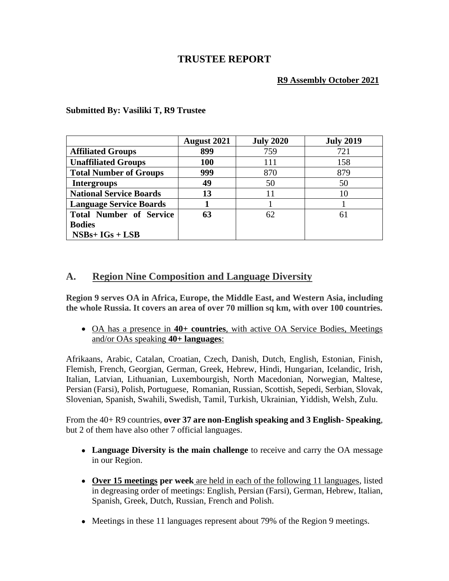# **TRUSTEE REPORT**

## **R9 Assembly October 2021**

|                                | <b>August 2021</b> | <b>July 2020</b> | <b>July 2019</b> |
|--------------------------------|--------------------|------------------|------------------|
| <b>Affiliated Groups</b>       | 899                | 759              | 721              |
| <b>Unaffiliated Groups</b>     | 100                | 111              | 158              |
| <b>Total Number of Groups</b>  | 999                | 870              | 879              |
| <b>Intergroups</b>             | 49                 | 50               | 50               |
| <b>National Service Boards</b> | 13                 | 11               | 10               |
| <b>Language Service Boards</b> |                    |                  |                  |
| <b>Total Number of Service</b> | 63                 | 62               | 61               |
| <b>Bodies</b>                  |                    |                  |                  |
| $NSBs+IGs+LSB$                 |                    |                  |                  |

#### **Submitted By: Vasiliki T, R9 Trustee**

# **A. Region Nine Composition and Language Diversity**

**Region 9 serves OA in Africa, Europe, the Middle East, and Western Asia, including the whole Russia. It covers an area of over 70 million sq km, with over 100 countries.** 

• OA has a presence in **40+ countries**, with active OA Service Bodies, Meetings and/or OAs speaking **40+ languages**:

Afrikaans, Arabic, Catalan, Croatian, Czech, Danish, Dutch, English, Estonian, Finish, Flemish, French, Georgian, German, Greek, Hebrew, Hindi, Hungarian, Icelandic, Irish, Italian, Latvian, Lithuanian, Luxembourgish, North Macedonian, Norwegian, Maltese, Persian (Farsi), Polish, Portuguese, Romanian, Russian, Scottish, Sepedi, Serbian, Slovak, Slovenian, Spanish, Swahili, Swedish, Tamil, Turkish, Ukrainian, Yiddish, Welsh, Zulu.

From the 40+ R9 countries, **over 37 are non-English speaking and 3 English- Speaking**, but 2 of them have also other 7 official languages.

- **Language Diversity is the main challenge** to receive and carry the OA message in our Region.
- **Over 15 meetings per week** are held in each of the following 11 languages, listed in degreasing order of meetings: English, Persian (Farsi), German, Hebrew, Italian, Spanish, Greek, Dutch, Russian, French and Polish.
- Meetings in these 11 languages represent about 79% of the Region 9 meetings.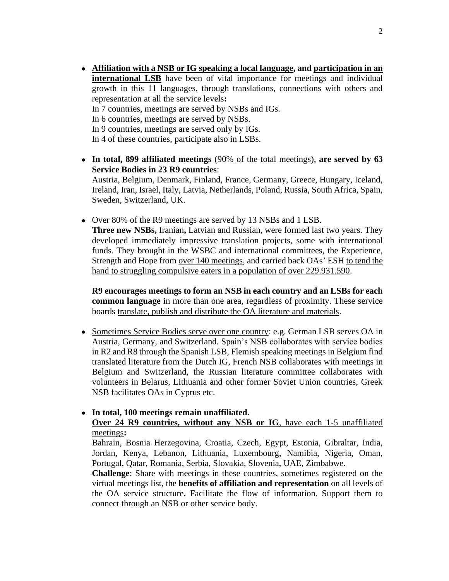- **Affiliation with a NSB or IG speaking a local language, and participation in an international LSB** have been of vital importance for meetings and individual growth in this 11 languages, through translations, connections with others and representation at all the service levels**:** In 7 countries, meetings are served by NSBs and IGs. In 6 countries, meetings are served by NSBs. In 9 countries, meetings are served only by IGs. In 4 of these countries, participate also in LSBs.
- **In total, 899 affiliated meetings** (90% of the total meetings), **are served by 63 Service Bodies in 23 R9 countries**: Austria, Belgium, Denmark, Finland, France, Germany, Greece, Hungary, Iceland,

Ireland, Iran, Israel, Italy, Latvia, Netherlands, Poland, Russia, South Africa, Spain, Sweden, Switzerland, UK.

• Over 80% of the R9 meetings are served by 13 NSBs and 1 LSB. **Three new NSBs,** Iranian**,** Latvian and Russian, were formed last two years. They developed immediately impressive translation projects, some with international funds. They brought in the WSBC and international committees, the Experience, Strength and Hope from over 140 meetings, and carried back OAs' ESH to tend the hand to struggling compulsive eaters in a population of over 229.931.590.

**R9 encourages meetings to form an NSB in each country and an LSBs for each common language** in more than one area, regardless of proximity. These service boards translate, publish and distribute the OA literature and materials.

• Sometimes Service Bodies serve over one country: e.g. German LSB serves OA in Austria, Germany, and Switzerland. Spain's NSB collaborates with service bodies in R2 and R8 through the Spanish LSB, Flemish speaking meetings in Belgium find translated literature from the Dutch IG, French NSB collaborates with meetings in Belgium and Switzerland, the Russian literature committee collaborates with volunteers in Belarus, Lithuania and other former Soviet Union countries, Greek NSB facilitates OAs in Cyprus etc.

#### • **In total, 100 meetings remain unaffiliated.**

### **Over 24 R9 countries, without any NSB or IG**, have each 1-5 unaffiliated meetings**:**

Bahrain, Bosnia Herzegovina, Croatia, Czech, Egypt, Estonia, Gibraltar, India, Jordan, Kenya, Lebanon, Lithuania, Luxembourg, Namibia, Nigeria, Oman, Portugal, Qatar, Romania, Serbia, Slovakia, Slovenia, UAE, Zimbabwe.

**Challenge**: Share with meetings in these countries, sometimes registered on the virtual meetings list, the **benefits of affiliation and representation** on all levels of the OA service structure**.** Facilitate the flow of information. Support them to connect through an NSB or other service body.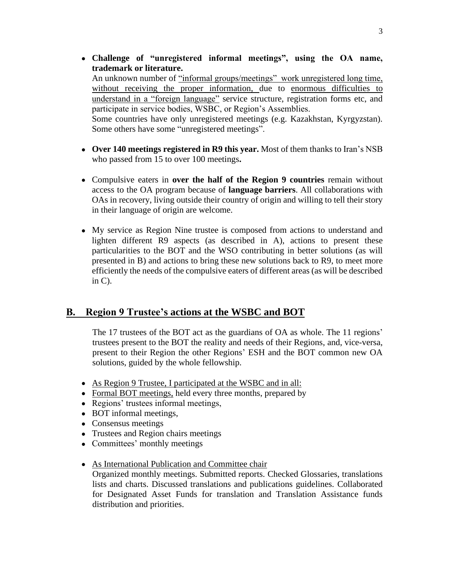• **Challenge of "unregistered informal meetings", using the OA name, trademark or literature.**

An unknown number of "informal groups/meetings" work unregistered long time, without receiving the proper information, due to enormous difficulties to understand in a "foreign language" service structure, registration forms etc, and participate in service bodies, WSBC, or Region's Assemblies.

Some countries have only unregistered meetings (e.g. Kazakhstan, Kyrgyzstan). Some others have some "unregistered meetings".

- **Over 140 meetings registered in R9 this year.** Most of them thanks to Iran's NSB who passed from 15 to over 100 meetings**.**
- Compulsive eaters in **over the half of the Region 9 countries** remain without access to the OA program because of **language barriers**. All collaborations with OAs in recovery, living outside their country of origin and willing to tell their story in their language of origin are welcome.
- My service as Region Nine trustee is composed from actions to understand and lighten different R9 aspects (as described in A), actions to present these particularities to the BOT and the WSO contributing in better solutions (as will presented in B) and actions to bring these new solutions back to R9, to meet more efficiently the needs of the compulsive eaters of different areas (as will be described in C).

# **B. Region 9 Trustee's actions at the WSBC and BOT**

The 17 trustees of the BOT act as the guardians of OA as whole. The 11 regions' trustees present to the BOT the reality and needs of their Regions, and, vice-versa, present to their Region the other Regions' ESH and the BOT common new OA solutions, guided by the whole fellowship.

- As Region 9 Trustee, I participated at the WSBC and in all:
- Formal BOT meetings, held every three months, prepared by
- Regions' trustees informal meetings,
- BOT informal meetings,
- Consensus meetings
- Trustees and Region chairs meetings
- Committees' monthly meetings
- As International Publication and Committee chair

Organized monthly meetings. Submitted reports. Checked Glossaries, translations lists and charts. Discussed translations and publications guidelines. Collaborated for Designated Asset Funds for translation and Translation Assistance funds distribution and priorities.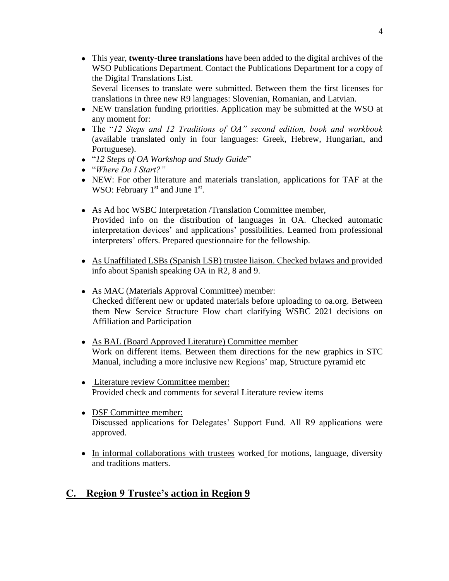• This year, **twenty-three translations** have been added to the digital archives of the WSO Publications Department. Contact the Publications Department for a copy of the Digital Translations List.

Several licenses to translate were submitted. Between them the first licenses for translations in three new R9 languages: Slovenian, Romanian, and Latvian.

- NEW translation funding priorities. Application may be submitted at the WSO at any moment for:
- The "*12 Steps and 12 Traditions of OA" second edition, book and workbook* (available translated only in four languages: Greek, Hebrew, Hungarian, and Portuguese).
- "*12 Steps of OA Workshop and Study Guide*"
- "*Where Do I Start?"*
- NEW: For other literature and materials translation, applications for TAF at the WSO: February  $1<sup>st</sup>$  and June  $1<sup>st</sup>$ .
- As Ad hoc WSBC Interpretation /Translation Committee member, Provided info on the distribution of languages in OA. Checked automatic interpretation devices' and applications' possibilities. Learned from professional interpreters' offers. Prepared questionnaire for the fellowship.
- As Unaffiliated LSBs (Spanish LSB) trustee liaison. Checked bylaws and provided info about Spanish speaking OA in R2, 8 and 9.
- As MAC (Materials Approval Committee) member: Checked different new or updated materials before uploading to oa.org. Between them New Service Structure Flow chart clarifying WSBC 2021 decisions on Affiliation and Participation
- As BAL (Board Approved Literature) Committee member Work on different items. Between them directions for the new graphics in STC Manual, including a more inclusive new Regions' map, Structure pyramid etc
- Literature review Committee member: Provided check and comments for several Literature review items
- DSF Committee member: Discussed applications for Delegates' Support Fund. All R9 applications were approved.
- In informal collaborations with trustees worked for motions, language, diversity and traditions matters.

# **C. Region 9 Trustee's action in Region 9**